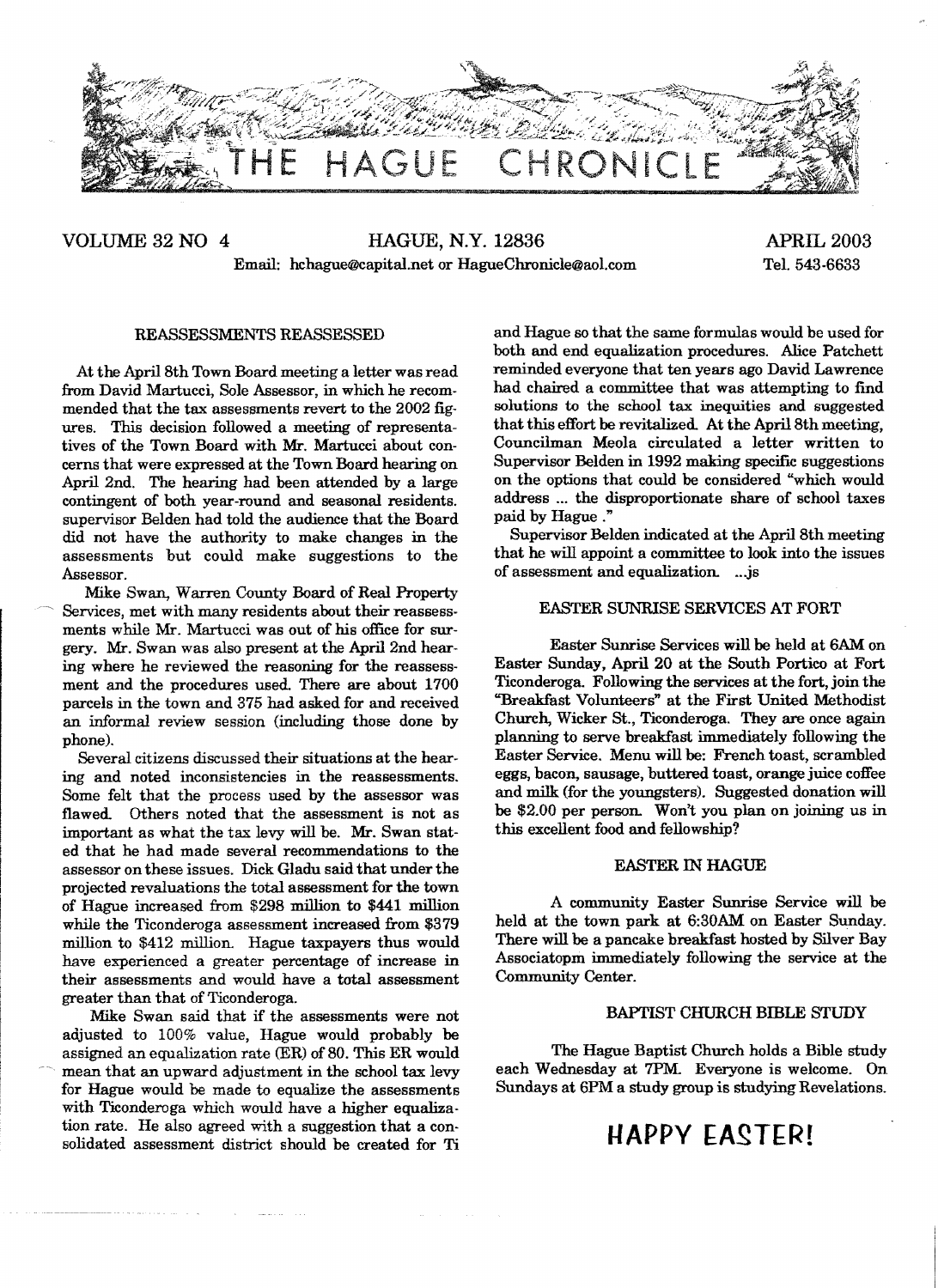

## VOLUME 32 NO 4 HAGUE, N.Y. 12836 APRIL 2003 Email: hchague@capital.net or HagueChronicle@aol.com Tel. 543-6633

#### REASSESSMENTS REASSESSED

At the April 8th Town Board meeting a letter was read from David Martucci., Sole Assessor, in which he recommended that the tax assessments revert to the 2002 figures. This decision followed a meeting of representatives of the Town Board with Mr. Martucci about concerns that were expressed at the Town Board hearing on April 2nd. The hearing had been attended by a large contingent of both year-round and seasonal residents. supervisor Belden had told the audience that the Board did not have the authority to make changes in the assessments but could make suggestions to the Assessor.

Mike Swan, Warren County Board of Real Property Services, met with many residents about their reassessments while Mr. Martucci was out of his office for surgery. Mr. Swan was also present at the April 2nd hearing where he reviewed the reasoning for the reassessment and the procedures used. There are about 1700 parcels in the town and 375 had asked for and received an informal review session (including those done by phone).

Several citizens discussed their situations at the hearing and noted inconsistencies in the reassessments. Some felt that the process used by the assessor was flawed. Others noted that the assessment is not as important as what the tax levy will be. Mr. Swan stated that he had made several recommendations to the assessor on these issues. Dick Gladu said that under the projected revaluations the total assessment for the town of Hague increased from \$29S million to \$441 million while the Ticonderoga assessment increased from \$379 million to \$412 million. Hague taxpayers thus would have experienced a greater percentage of increase in their assessments and would have a total assessment greater than that of Ticonderoga.

Mike Swan said that if the assessments were not adjusted to 100% value, Hague would probably be assigned an equalization rate (ER) of SO. This ER would mean that an upward adjustment in the school tax levy for Hague would be made to equalize the assessments with Ticonderoga which would have a higher equalization rate. He also agreed with a suggestion that a consolidated assessment district should be created for Ti

and Hague so that the same formulas would be used for both and end equalization procedures. Alice Patchett reminded everyone that ten years ago David Lawrence had chaired a committee that was attempting to find solutions to the school tax inequities and suggested that this effort be revitalized. At the April 8th meeting, Councilman Meola circulated a letter written to Supervisor Belden in 1992 making specific suggestions on the options that could be considered "which would address ... the disproportionate share of school taxes paid by Hague ."

Supervisor Belden indicated at the April Sth meeting that he will appoint a committee to look into the issues of assessment and equalization. ...js

### EASTER SUNRISE SERVICES AT FORT

Easter Sunrise Services will be held at GAM on Easter Sunday, April 20 at the South Portico at Fort Ticonderoga. Following the services at the fort, join the "Breakfast Volunteers" at the First United Methodist Church, Wicker St., Ticonderoga. They are once again planning to serve breakfast immediately following the Easter Service. Menu will be: French toast, scrambled eggs, bacon, sausage, buttered toast, orange juice coffee and milk (for the youngsters). Suggested donation will be \$2.00 per person. Won't you plan on joining us in this excellent food and fellowship'!

#### EASTER IN HAGUE

A community Easter Sunrise Service will be held at the town park at 6:30AM on Easter Sunday. There will be a pancake breakfast hosted by Silver Bay Associatopm immediately following the service at the Community Center.

#### BAPTIST CHURCH BIBLE STUDY

The Hague Baptist Church holds a Bible study each Wednesday at 7PM. Everyone is welcome. On Sundays at 6PM a study group is studying Revelations.

# **HAPPY EASTER!**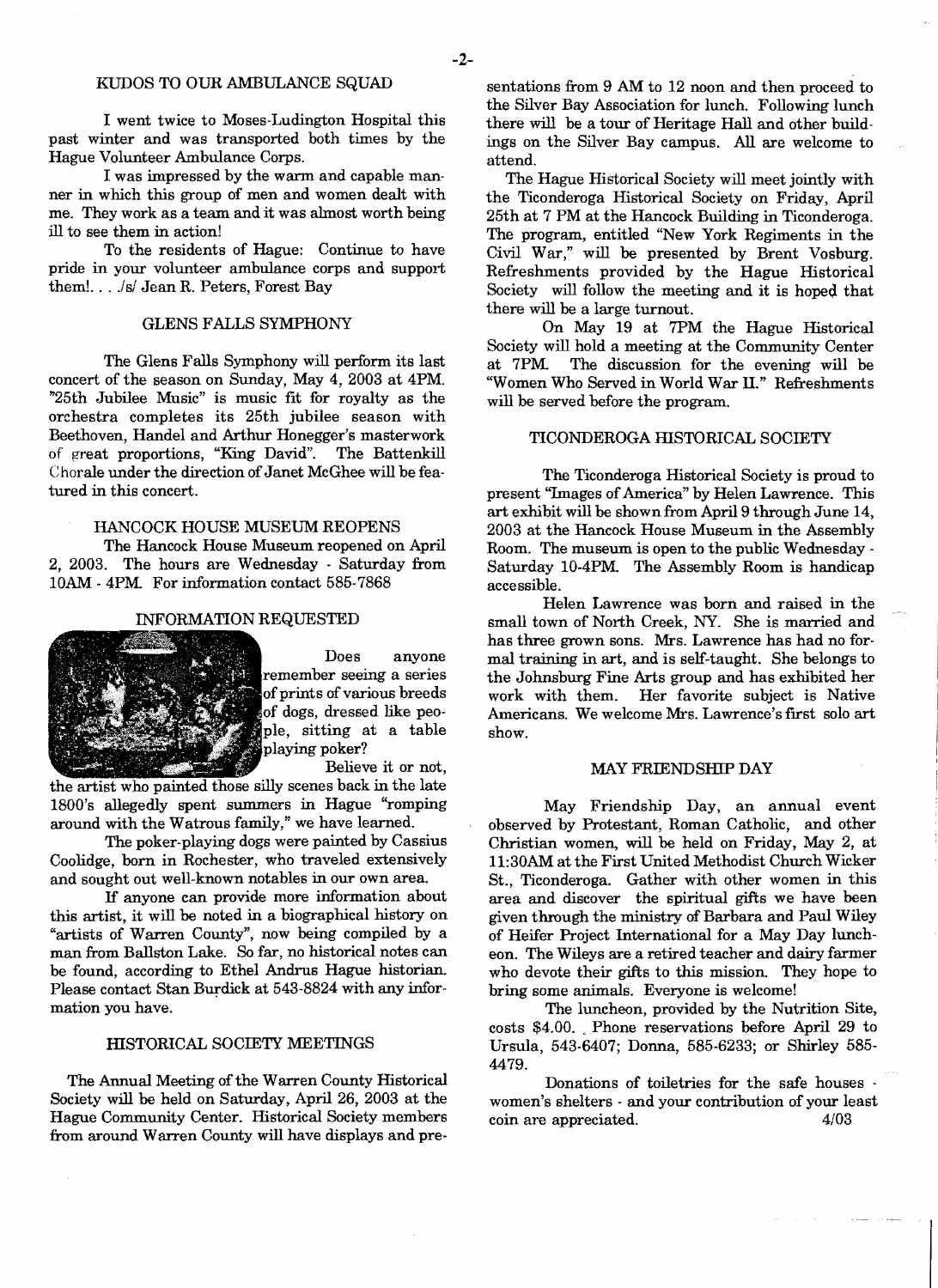I went twice to Moses-Ludington Hospital this past winter and was transported both times by the Hague Volunteer Ambulance Corps.

I was impressed by the warm and capable manner in which this group of men and women dealt with me. They work as a team and it was almost worth being ill to see them in action!

To the residents of Hague: Continue to have pride in your volunteer ambulance corps and support them!. .. *.lsi* Jean R. Peters, Forest Bay

## GLENS FALLS SYMPHONY

The Glens Falls Symphony will perform its last concert of the season on Sunday, May 4, 2003 at 4PM. "25th Jubilee Music" is music fit for royalty as the orchestra completes its 25th jubilee season with Beethoven, Handel and Arthur Honegger's masterwork of great proportions, "King David". The Battenkill Chorale under the direction of Janet McGhee will be featured in this concert.

## HANCOCK HOUSE MUSEUM REOPENS

The Hancock House Museum reopened on April 2, 2003. The hours are Wednesday - Saturday from lOAM - 4PM. For information contact 585-7868

#### INFORMATION REQUESTED



Does anyone remember seeing a series<br>of prints of various breeds of dogs, dressed like people, sitting at a table playing poker?

Believe it or not,

the artist who painted those silly scenes back in the late 1800's allegedly spent summers in Hague "romping around with the Watrous family," we have learned.

The poker-playing dogs were painted by Cassius Coolidge, born in Rochester, who traveled extensively and sought out well-known notables in our own area.

If anyone can provide more information about this artist, it will be noted in a biographical history on "artists of Warren County", now being compiled by a man from Ballston Lake. So far, no historical notes can be found, according to Ethel Andrus Hague historian. Please contact Stan Burdick at 543-8824 with any information you have.

#### HISTORICAL SOCIETY MEETINGS

The Annual Meeting of the Warren County Historical Society will be held on Saturday, April 26, 2003 at the Hague Community Center. Historical Society members from around Warren County will have displays and pre-

sentations from 9 AM to 12 noon and then proceed to the Silver Bay Association for lunch. Following lunch there will be a tour of Heritage Hall and other build· ings on the Silver Bay campus. All are welcome to attend.

The Hague Historical Society will meet jointly with the Ticonderoga Historical Society on Friday, April 25th at 7 PM at the Hancock Building in Ticonderoga. The program, entitled "New York Regiments in the Civil War," will be presented by Brent Vosburg. Refreshments provided by the Hague Historical Society will follow the meeting and it is hoped that there will be a large turnout.

On May 19 at 7PM the Hague Historical Society will hold a meeting at the Community Center<br>at 7PM. The discussion for the evening will be The discussion for the evening will be ''Women Who Served in World War ll." Refreshments will be served before the program.

#### TICONDEROGA mSTORICAL SOCIETY

The Ticonderoga Historical Society is proud to present "Images of America" by Helen Lawrence. This art exhibit will be shown from April 9 through June 14, 2003 at the Hancock House Museum in the Assembly Room. The museum is open to the public Wednesday Saturday 10-4PM. The Assembly Room is handicap accessible.

Helen Lawrence was born and raised in the small town of North Creek, NY. She is married and has three grown sons. Mrs. Lawrence has had no formal training in art, and is self-taught. She belongs to the Johnsburg Fine Arts group and has exhibited her Her favorite subject is Native Americans. We welcome Mrs. Lawrence's first solo art show.

#### MAY FRIENDSHIP DAY

May Friendship Day, an annual event observed by Protestant, Roman Catholic, and other Christian women, will be held on Friday, May 2, at 11:30AM at the First United Methodist Church Wicker St., Ticonderoga. Gather with other women in this area and discover the spiritual gifts we have been given through the ministry of Barbara and Paul Wiley of Heifer Project International for a May Day luncheon. The Wileys are a retired teacher and dairy farmer who devote their gifts to this mission. They hope to bring some animals. Everyone is welcome!

The luncheon, provided by the Nutrition Site, costs \$4.00 .. Phone reservations before April 29 to Ursula, 543-6407; Donna, 585-6233; or Shirley 585 4479.

Donations of toiletries for the safe houses . women's shelters - and your contribution of your least coin are appreciated. *4/03*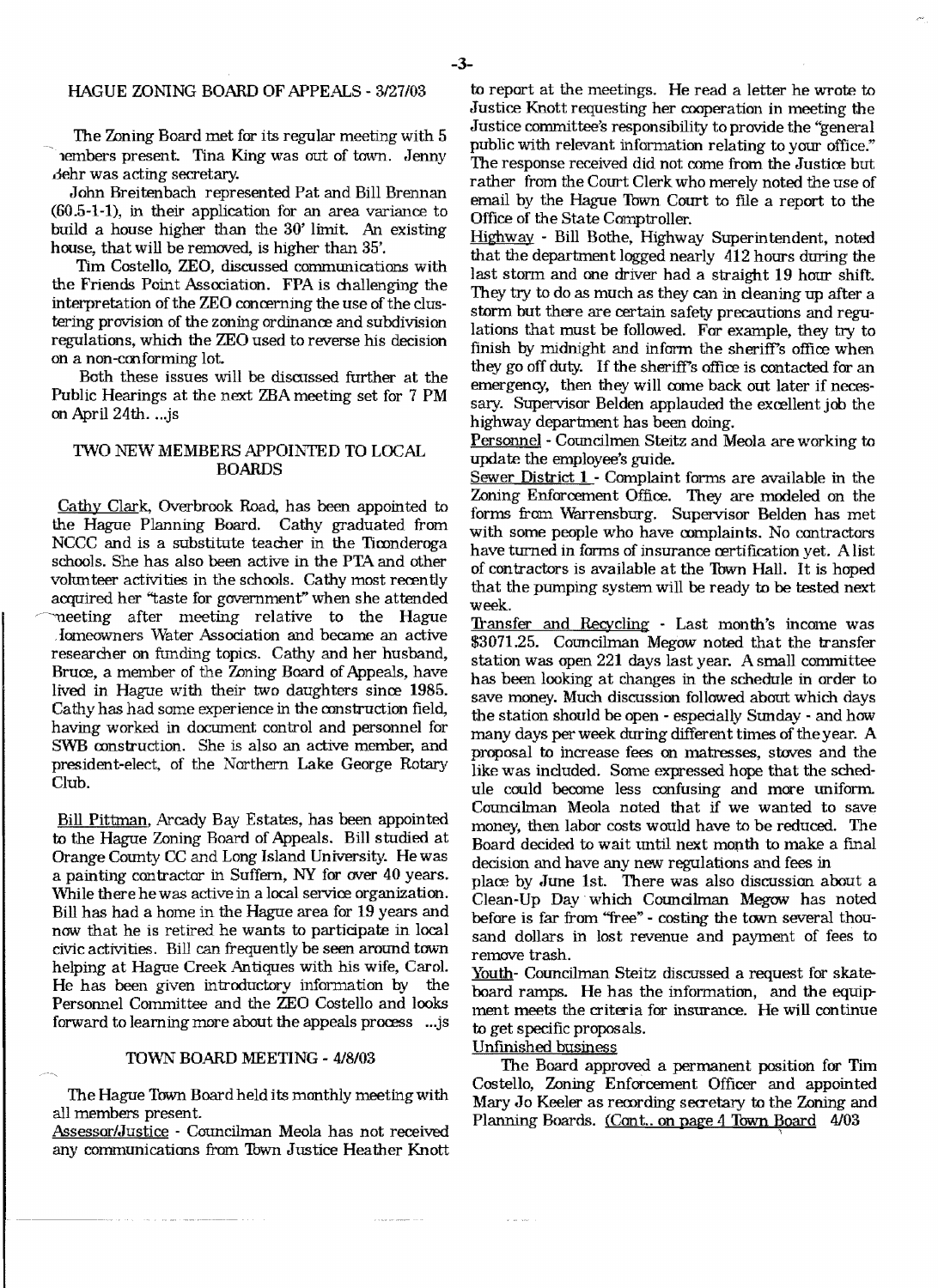### HAGUE ZONING BOARD OF APPEALS - 3/27/03

The Zoning Board met for its regular meeting with 5 embers present. Tina King was out of town. Jenny .door was acting secretary.

John Breitenbach represented Pat and Bill Brennan (60.5-1-1), in their application for an area variance to build a house higher than the 30' limit. An existing house, that will be removed, is higher than 35'.

Tim Costello, ZEO, discussed communications with the Friends Point Association. FPA is challenging the interpretation of the ZEO concerning the use of the clustering provision of the zoning ordinance and subdivision regulations, which the ZEO used to reverse his decision on a non-cmforming lot.

Both these issues will be discussed further at the Public Hearings at the next ZBA meeting set for 7 PM on April 24th....js

## TWO NEW MEMBERS APPOIN"TED TO LOCAL BOARDS

Cathy Clark, Overbrook Road, has been appointed to the Hague Planning Board. Cathy graduated from NCCC and is a substitute teacher in the Ticonderoga schools. She has also been active in the PTA and other volunteer activities in the schools. Cathy most recently acquired her "taste for government" when she attended meeting after meeting relative to the Hague . Iomeowners \Vater Association and became an active researcher on funding topics. Cathy and her husband, Bruce, a member of the Zoning Board of Appeals, have lived in Hague with their two daughters since 1985. Cathy has had some experience in the construction field, having worked in docmnent control and personnel for SWB construction. She is also an active member, and president-elect, of the Northern Lake George Rotary Club.

Bill Pittman, Arcady Bay Estates, has been appointed to the Hague Zoning Board of Appeals. Bill studied at Orange County CC and Long Island University. He was a painting contractor in Suffern, NY for over  $40$  years. While there he was active in a local service organization. Bill has had a home in the Hague area for 19 years and now that he is retired he wants to participate in local civic activities. Bill can frequently be seen around town helping at Hague Creek Antiques with his wife, Carol. He has been given introductory information by the Personnel Committee and the ZEO Costello and looks forward to learning more about the appeals process ...js

#### TOWN BOARD MEETING - 4/8/03

The Hague Town Board held its monthly meetingwith all members present.

Assessor/.Justice - Councilman Meola has not received any communications from Town Justice Heather Knott to report at the meetings. He read a letter he wrote to Justice Knott requesting her cooperation in meeting the Justice committee's responsibility to provide the "general public with relevant information relating to your office." The response received did not come from the Justice but rather from the Court Clerk who merely noted the use of email by the Hague Town Court to file a report to the Office of the State Comptroller.

Highway - Bill Bothe, Highway Superintendent, noted that the department logged nearly 412 hours during the last storm and one driver had a straight 19 hour shift. They try to do as much as they can in deaning up after a storm but there are certain safety precautions and regulations that must be followed. For example, they try to finish by midnight and inform the sheriff's office when they go off duty. If the sheriff's office is contacted for an emergency, then they will come back out later if necessary. Supervisor Belden applauded the excellent job the highway department has been doing.

Personnel - Councilmen Steitz and Meola are working to update the employee's guide.

Sewer District  $1$  - Complaint forms are available in the Zoning Enforcement Office. They are modeled on the forms from Warrensburg. Supervisor Belden has met with some people who have complaints. No contractors have turned in forms of insurance certification yet. A list of contractors is available at the Town Hall. It is hoped that the pumping system will be ready to be tested next week.

'Iransfer and Recycling - Last month's income was \$3071.25. Councilman Megow noted that the transfer station was open 221 days last year. A small committee has been looking at changes in the schedule in order to save money. Much discussion followed about which days the station should be open - especially Sunday - and how many days per week during different times of theyear. A proposal to increase fees on matresses, stoves and the like was included. Some expressed hope that the schedule could become less confusing and more uniform. Councilman Meola noted that if we wanted to save money, then labor costs would have to be reduced. The Board decided to wait until next month to make a final decision and have any new regulations and fees in

place by June 1st. There was also discussion about a Clean-Up Day which Councilman Megow has noted before is far from "free" - costing the town several thousand dollars in lost revenue and payment of fees to remove trash.

Youth- Councilman Steitz discussed a request for skateboard ramps. He has the information, and the equipment meets the criteria for insurance. He will continue to get specific proposals.

Unflnished business

The Board approved a permanent position for Tim Costello, Zoning Enforcement Officer and appointed Mary Jo Keeler as recording secretary to the Zoning and Planning Boards. (Cont.. on page 4 Town Board 4/03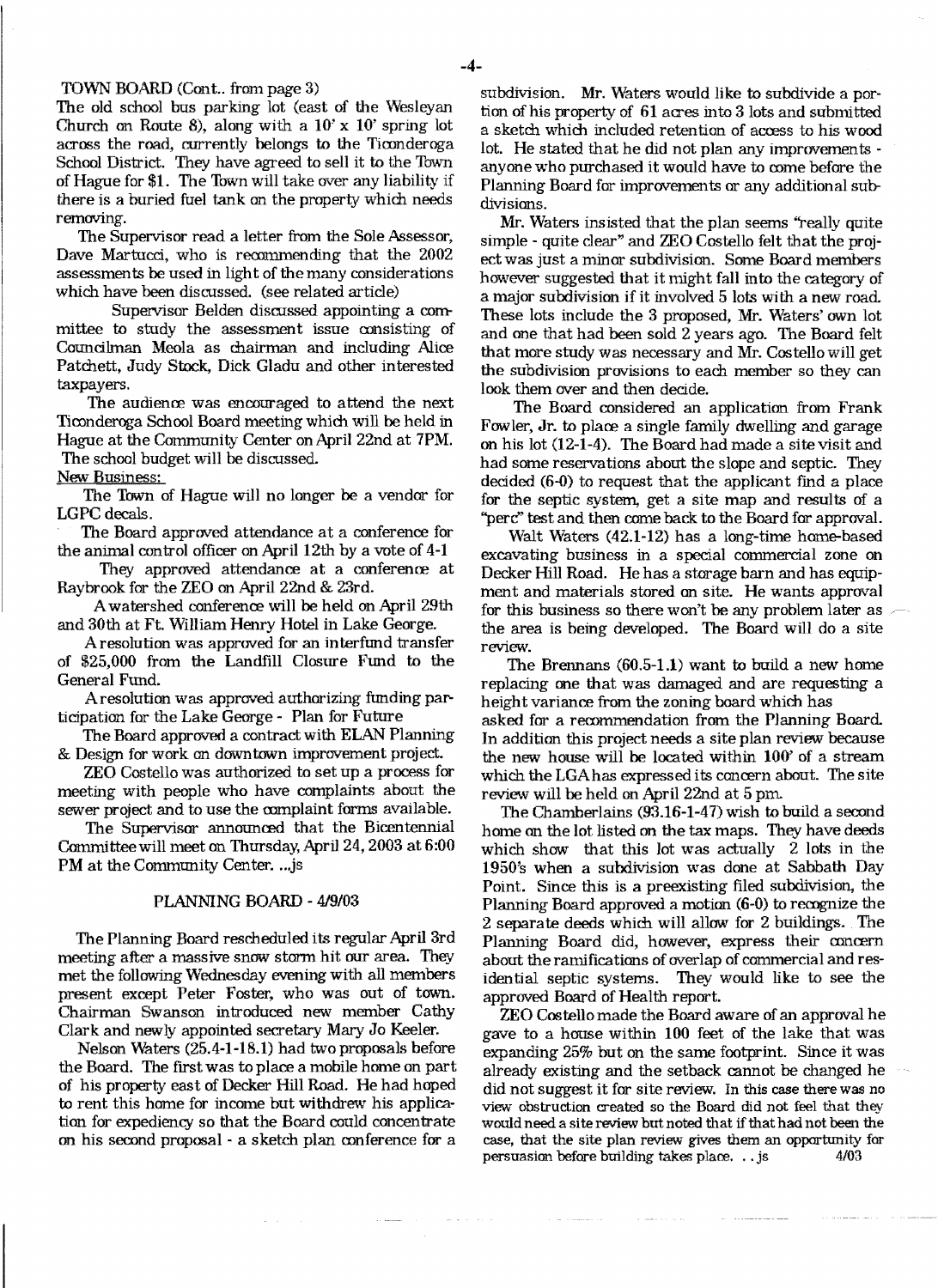#### TOWN BOARD (Cont.. from page 3)

The old school bus parking lot (east of the Wesleyan Church on Route 8), along with a  $10' \times 10'$  spring lot across the road, currently belongs to the Ticonderoga School District. They have agreed to sell it to the Town of Hague for \$1. The Town will take over any liability if there is a buried fuel tank on the property which needs removing.

The Supervisor read a letter from the Sole Assessor, Dave Martucci, who is recommending that the 2002 assessments be used in light of the many considerations which have been discussed. (see related article)

Supervisor Belden discussed appointing a committee to study the assessment issue consisting of Councilman Meola as chairman and including Alice Patchett, Judy Stock, Dick Gladu and other interested taxpayers.

The audience was encouraged to attend the next Ticonderoga School Board meeting which will be held in Hague at the Community Center on April 22nd at 7PM. The school budget will be discussed.

New Business:

The Town of Hague will no longer be a vendor for LGPC decals.

The Board approved attendance at a conference for the animal control officer on April 12th by a vote of 4-1

They approved attendance at a conference at Raybrook for the ZEO on April 22nd & 23rd.

A watershed conference will be held on April 29th and 30th at Ft. William Henry Hotel in Lake George.

A resolution was approved for an interfund transfer of \$25,000 from the Landfill Closure Fund to the General Fund.

Aresolution was approved authorizing funding participation for the Lake George - Plan for Future

The Board approved a contract with ELAN Planning & Design for work on downtown improvement project.

ZEO Costello was authorized to set up a process for meeting with people who have complaints about the sewer project and to use the complaint forms available.

The Supervisor announced that the Bicentennial Committeewill meet on Thursday, April 24,2003 at 6:00 PM at the Community Center. ...js

#### PLANNING BOARD - 419/03

The Planning Board rescheduled its regular April 3rd meeting after a massive snow storm hit our area. They met the following Wednesday evening with all members present except Peter Foster, who was out of town. Chairman Swanson introduced new member Cathy Clark and newly appointed secretary Mary Jo Keeler.

Nelson Waters (25.4-1-18.1) had two proposals before the Board. The fIrst was to place a mobile home on part of his property east of Decker Hill Road. He had hoped to rent this home for income but withdrew his application for expediency so that the Board could concentrate on his second proposal - a sketch plan conference for a

subdivision. Mr. Waters would like to subdivide a portion of his property of 61 acres into 3 lots and submitted a sketch which included retention of access to his wood lot. He stated that he did not plan any improvements anyone who purchased it would have to come before the Planning Board for improvements or any additional subdivisions.

Mr. Waters insisted that the plan seems "really quite simple - quite clear" and ZEO Costello felt that the project was just a minor subdivision. Some Board members however suggested that it might fall into the category of a major subdivision if it involved 5 lots with a new road These lots include the 3 proposed, Mr. Waters' own lot and one that had been sold 2 years ago. The Board felt that more study was necessary and Mr. Costello will get the subdivision provisions to each member so they can look them aver and then decide.

The Board considered an application from Frank Fowler, Jr. to place a single family dwelling and garage on his lot (12-1-4). The Board had made a site visit and had some reservations about the slope and septic. They decided (6-0) to request that the applicant find a place for the septic system, get a site map and results of a "perc" test and then come back to the Board for approval.

Walt Waters (42.1-12) has a long-time home-based excavating business in a special commercial zone on Decker Hill Road. He has a storage barn and has equipment and materials stored on site. He wants approval for this business so there won't be any problem later as  $\sim$ the area is being developed. The Board will do a site review.

The Brennans  $(60.5-1.1)$  want to build a new home replacing one that was damaged and are requesting a height variance from the zoning board which has asked for a recommendation from the Planning Board. In addition this project needs a site plan review because the new house will be located within 100' of a stream which the LGAhas expressed its concern about. The site review will be held on April 22nd at 5 pm.

The Chamberlains (93.16-1-47) wish to build a second home on the lot listed on the tax maps. They have deeds which show that this lot was actually 2 lots in the 1950's when a subdivision was done at Sabbath Day Point. Since this is a preexisting fIled subdivision, the Planning Board approved a motion (6-0) to recognize the 2 separate deeds which will allow for 2 buildings. The Planning Board did, however, express their concern about the ramifications of overlap of commercial and residential septic systems. They would like to see the approved Board of Health report.

ZEO Costello made the Board aware of an approval he gave to a house within 100 feet of the lake that was expanding 25% but on the same footprint. Since it was already existing and the setback cannot be changed he did not suggest it for site review. In this case there was no view obstruction created so the Board did not feel that they would need a site review but noted that if that had not been the case, that the site plan review gives them an opportunity for persuasion before building takes place. .. js 4/03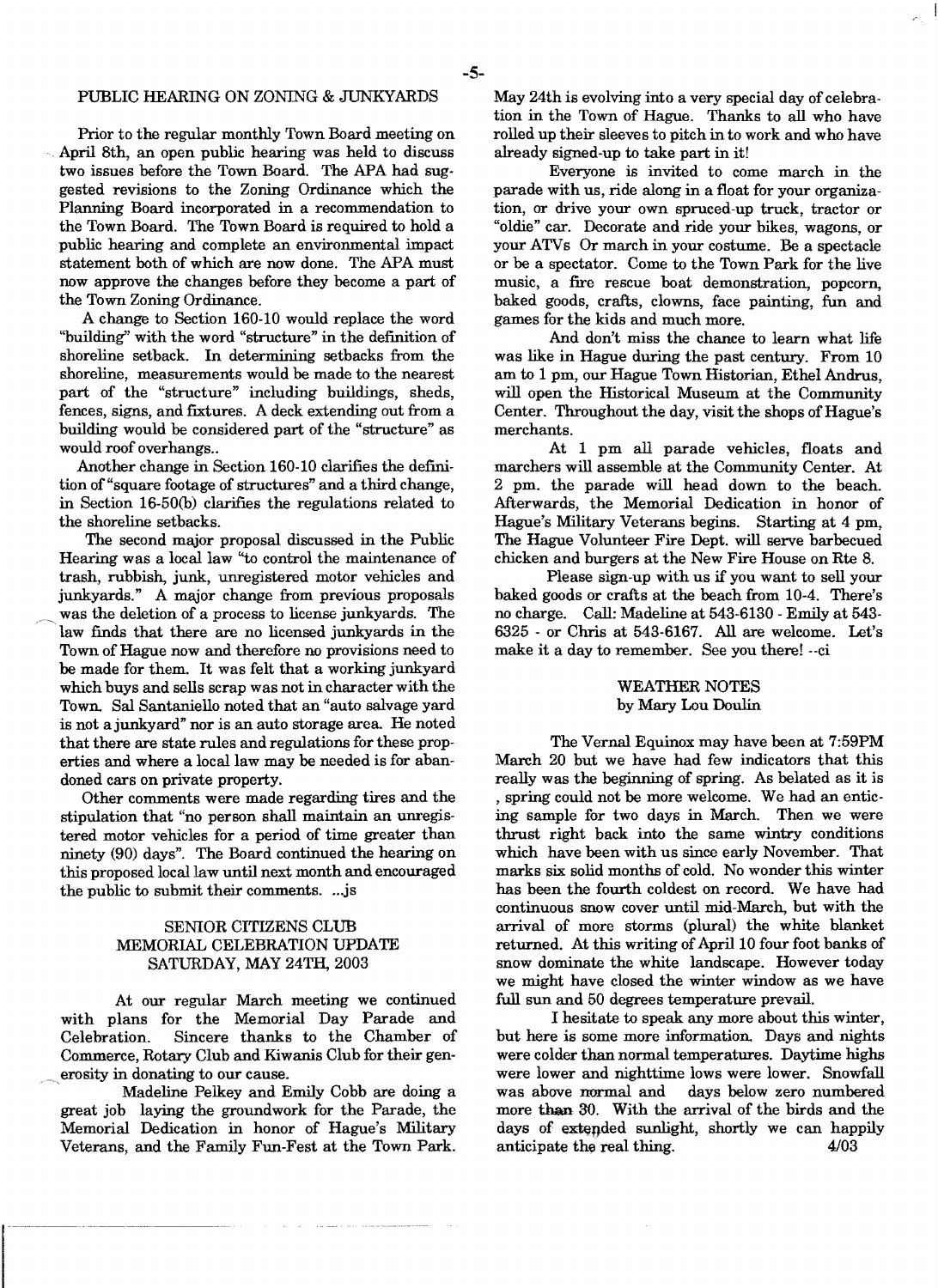### PUBLIC HEARING ON ZONING & JUNKYARDS

Prior to the regular monthly Town Board meeting on April 8th, an open public hearing was held to discuss two issues before the Town Board. The APA had suggested revisions to the Zoning Ordinance which the Planning Board incorporated in a recommendation to the Town Board. The Town Board is required to hold a public hearing and complete an environmental impact statement both of which are now done. The APA must now approve the changes before they become a part of the Town Zoning Ordinance.

A change to Section 160-10 would replace the word "building" with the word "structure" in the definition of shoreline setback. In determining setbacks from the shoreline, measurements would be made to the nearest part of the "structure" including buildings, sheds, fences, signs, and fixtures. A deck extending out from a building would be considered part of the "structure" as would roof overhangs..

Another change in Section 160-10 clarifies the definition of "square footage of structures" and a third change, in Section 16-50(b) clarifies the regulations related to the shoreline setbacks.

The second major proposal discussed in the Public Hearing was a local law "to control the maintenance of trash, rubbish, junk, unregistered motor vehicles and junkyards." A major change from previous proposals was the deletion of a process to license junkyards. The law finds that there are no licensed junkyards in the Town of Hague now and therefore no provisions need to be made for them. It was felt that a working junkyard which buys and sells scrap was not in character with the Town. Sal Santaniello noted that an "auto salvage yard is not ajunkyard" nor is an auto storage area. He noted that there are state rules and regulations for these properties and where a local law may be needed is for abandoned cars on private property.

Other comments were made regarding tires and the stipulation that "no person shall maintain an unregistered motor vehicles for a period of time greater than ninety (90) days". The Board continued the hearing on this proposed local law until next month and encouraged the public to submit their comments....js

## SENIOR CITIZENS CLUB MEMORIAL CELEBRATION UPDATE SATURDAY, MAY 24TH, 2003

At our regular March meeting we continued with plans for the Memorial Day Parade and Celebration. Sincere thanks to the Chamber of Commerce, Rotary Club and Kiwanis Club for their gen \_ erosity in donating to our cause.

, Madeline Pelkey and Emily Cobb are doing a great job laying the groundwork for the Parade, the Memorial Dedication in honor of Hague's Military Veterans, and the Family Fun-Fest at the Town Park. May 24th is evolving into a very special day of celebration in the Town of Hague. Thanks to all who have rolled up their sleeves to pitch in to work and who have already signed-up to take part in it!

Everyone is invited to come march in the parade with us, ride along in a float for your organization, or drive your own spruced-up truck, tractor or "oldie" car. Decorate and ride your bikes, wagons, or your ATVs Or march in your costume. Be a spectacle or be a spectator. Come to the Town Park for the live music, a fire rescue boat demonstration, popcorn, baked goods, crafts, clowns, face painting, fun and games for the kids and much more.

And don't miss the chance to learn what life was like in Hague during the past century. From 10 am to 1 pm, our Hague Town Historian, Ethel Andrus, will open the Historical Museum at the Community Center. Throughout the day, visit the shops of Hague's merchants.

At 1 pm all parade vehicles, floats and marchers will assemble at the Community Center. At 2 pm. the parade will head down to the beach. Afterwards, the Memorial Dedication in honor of Hague's Military Veterans begins. Starting at 4 pm, The Hague Volunteer Fire Dept. will serve barbecued chicken and burgers at the New Fire House on Rte 8.

Please sign-up with us if you want to sell your baked goods or crafts at the beach from 10-4. There's no charge. Call: Madeline at 543-6130 - Emily at 543 6325 - or Chris at 543-6167. All are welcome. Let's make it a day to remember. See you there! --ci

#### WEATHER NOTES by Mary Lou Doulin

The Vernal Equinox may have been at 7:59PM March 20 but we have had few indicators that this really was the beginning of spring. As belated as it is spring could not be more welcome. We had an enticing sample for two days in March. Then we were thrust right back into the same wintry conditions which have been with us since early November. That marks six solid months of cold. No wonder this winter has been the fourth coldest on record. We have had continuous snow cover until mid-March, but with the arrival of more storms (plural) the white blanket returned. At this writing of April 10 four foot banks of snow dominate the white landscape. However today we might have closed the winter window as we have full sun and 50 degrees temperature prevail.

I hesitate to speak any more about this winter, but here is some more information. Days and nights were colder than normal temperatures. Daytime highs were lower and nighttime lows were lower. Snowfall was above normal and days below zero numbered more than 30. With the arrival of the birds and the days of extended sunlight, shortly we can happily anticipate the real thing. 4/03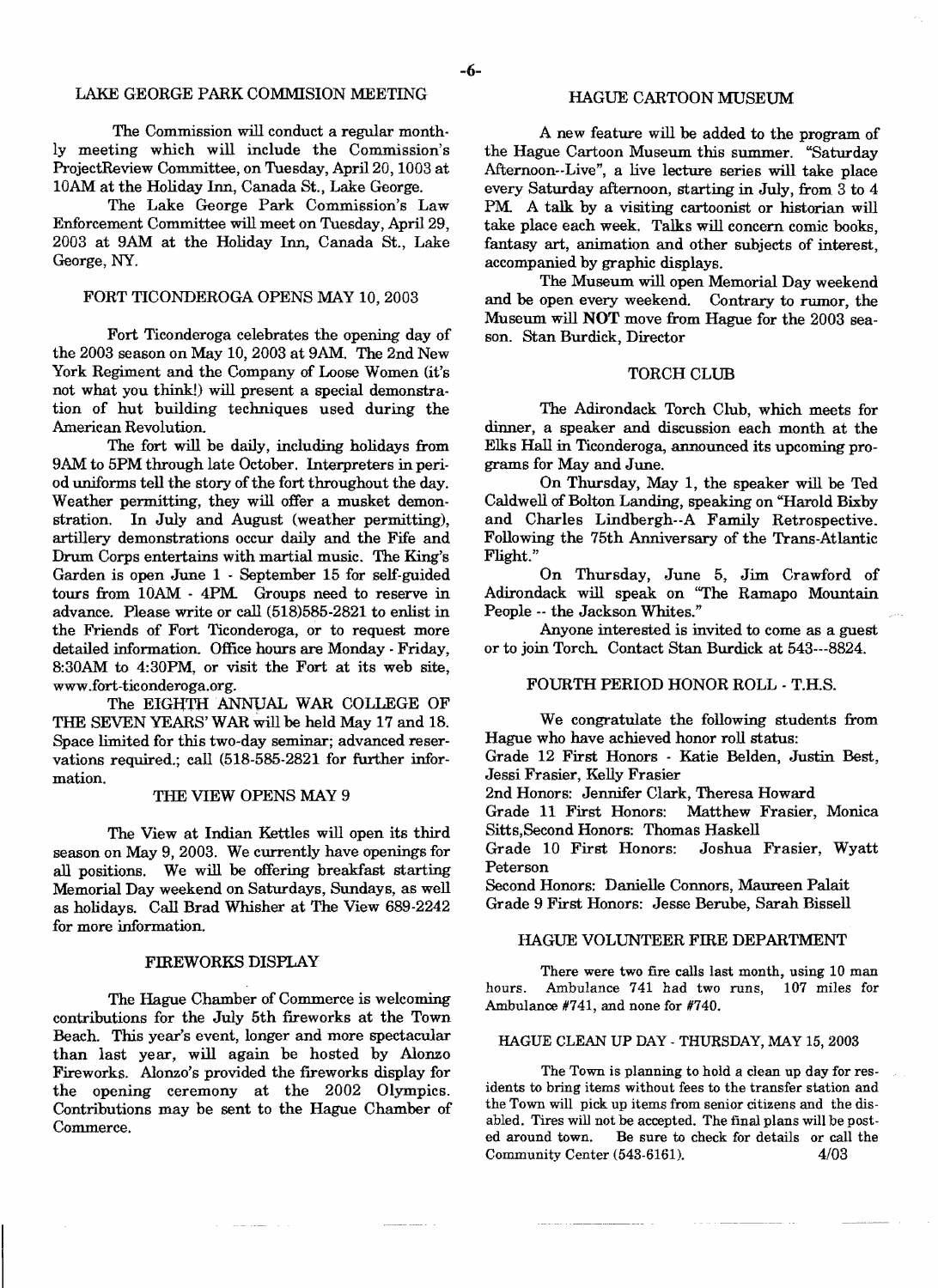## LAKE GEORGE PARK COMMISION MEETING

The Commission will conduct a regular monthly meeting which will include the Commission's ProjectReview Committee, on Tuesday, April 20, 1003 at 10AM at the Holiday Inn, Canada St., Lake George.

The Lake George Park Commission's Law Enforcement Committee will meet on Tuesday, April 29, 2003 at 9AM at the Holiday Inn, Canada St., Lake George, NY.

## FORT TICONDEROGA OPENS MAY 10, 2003

Fort Ticonderoga celebrates the opening day of the 2003 season on May 10, 2003 at 9AM. The 2nd New York Regiment and the Company of Loose Women (it's not what you think!) will present a special demonstration of hut building techniques used during the American Revolution.

The fort will be daily, including holidays from 9AM to 5PM through late October. Interpreters in period uniforms tell the story of the fort throughout the day. Weather permitting, they will offer a musket demonstration. In July and August (weather permitting), artillery demonstrations occur daily and the Fife and Drum Corps entertains with martial music. The King's Garden is open June 1 - September 15 for self-guided tours from lOAM - 4PM. Groups need to reserve in advance. Please write or call (518)585-2821 to enlist in the Friends of Fort Ticonderoga, or to request more detailed information. Office hours are Monday - Friday, 8:30AM to 4:30PM, or visit the Fort at its web site, www.fort-ticonderoga.org.

The EIGHTH ANNUAL WAR COLLEGE OF THE SEVEN YEARS' WAR will be held May 17 and 18. Space limited for this two-day seminar; advanced reservations required.; call (518-585-2821 for further information.

### THE VIEW OPENS MAY 9

The View at Indian Kettles will open its third season on May 9, 2003. We currently have openings for all positions. We will be offering breakfast starting Memorial Day weekend on Saturdays, Sundays, as well as holidays. Call Brad Whisher at The View 689-2242 for more information.

### FIREWORKS DISPLAY

The Hague Chamber of Commerce is welcoming contributions for the July 5th fireworks at the Town Beach. This year's event, longer and more spectacular than last year, will again be hosted by Alonzo Fireworks. Alonzo's provided the fireworks display for the opening ceremony at the 2002 Olympics. Contributions may be sent to the Hague Chamber of Commerce.

## HAGUE CARTOON MUSEUM

A new feature will be added to the program of the Hague Cartoon Museum this summer. "Saturday Afternoon--Live", a live lecture series will take place every Saturday afternoon, starting in July, from 3 to 4 PM. A talk by a visiting cartoonist or historian will take place each week. Talks will concern comic books, fantasy art, animation and other subjects of interest, accompanied by graphic displays.

The Museum will open Memorial Day weekend and be open every weekend. Contrary to rumor, the Museum. will **NOT** move from Hague for the 2003 season. Stan Burdick, Director

## TORCH CLUB

The Adirondack Torch Club, which meets for dinner, a speaker and discussion each month at the Elks Hall in Ticonderoga, announced its upcoming programs for May and June.

On Thursday, May 1, the speaker will be Ted Caldwell of Bolton Landing, speaking on "Harold Bixby and Charles Lindbergh--A Family Retrospective. Following the 75th Anniversary of the Trans-Atlantic Flight."

On Thursday, June 5, Jim Crawford of Adirondack will speak on ''The Ramapo Mountain People -- the Jackson Whites."

Anyone interested is invited to come as a guest or to join Torch. Contact Stan Burdick at 543---8824.

## FOURTH PERIOD HONOR ROLL - T.H.S.

We congratulate the following students from Hague who have achieved honor roll status:

Grade 12 First Honors - Katie Belden, Justin Best, Jessi Frasier, Kelly Frasier

2nd Honors: Jennifer Clark, Theresa Howard

Grade 11 First Honors: Matthew Frasier, Monica Sitts,Second Honors: Thomas Haskell

Grade 10 First Honors: Joshua Frasier, Wyatt Peterson

Second Honors: Danielle Connors, Maureen Palait Grade 9 First Honors: Jesse Berube, Sarah Bissell

## HAGUE VOLUNTEER FIRE DEPARTMENT

There were two fire calls last month, using 10 man hours. Ambulance 741 had two runs, 107 miles for Ambulance #741, and none for #740.

## HAGUE CLEAN UP DAY - THURSDAY, MAY 15, 2003

The Town is planning to hold a clean up day for residents to bring items without fees to the transfer station and the Town will pick up items from senior citizens and the disabled. Tires will not be accepted. The final plans will be posted around town. Be sure to check for details or call the Community Center (543-6161), 4/03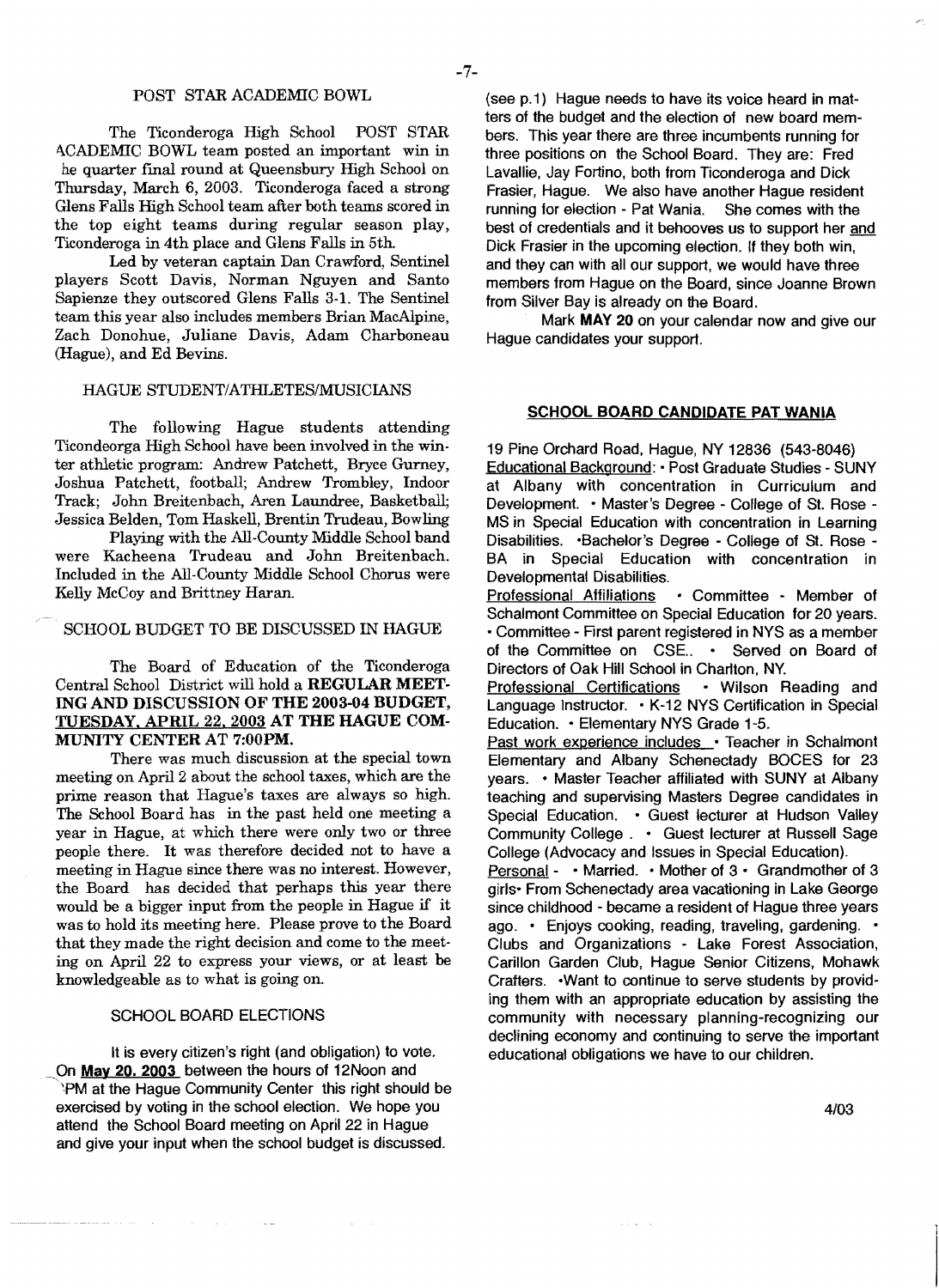#### POST STAR ACADEMIC BOWL

The Ticonderoga High School POST STAR ACADEMIC BOWL team posted an important win in he quarter final round at Queensbury High School on Thursday, March 6, 2003. Ticonderoga faced a strong Glens Falls High School team after both teams scored in the top eight teams during regular season play, Ticonderoga in 4th place and Glens Falls in 5th.

Led by veteran captain Dan Crawford, Sentinel players Scott Davis, Norman Nguyen and Santo Sapienze they outscored Glens Falls 3-1. The Sentinel team this year also includes members Brian MacAlpine, Zach Donohue, Juliane Davis, Adam Charboneau (Hague), and Ed Bevins.

## HAGUE STUDENT/ATHLETES/MUSICIANS

The following Hague students attending Ticondeorga High School have been involved in the winter athletic program: Andrew Patchett, Bryce Gurney, Joshua Patchett, football; Andrew Trombley, Indoor Track; John Breitenbach, Aren Laundree, Basketball; Jessica Belden, Tom Haskell, Brentin Trudeau, Bowling

. Playing with the All-County Middle School band were Kacheena Trudeau and John Breitenbach. Included in the All-County Middle School Chorus were Kelly McCoy and Brittney Haran.

## SCHOOL BUDGET TO BE DISCUSSED IN HAGUE

The Board of Education of the Ticonderoga Central School District will hold a REGULAR MEET· ING AND DISCUSSION OF THE 2003-04 BUDGET, TUESDAY. APRIL 22. 2003 AT THE HAGUE COM· MUNITY CENTER AT 7:00PM.

There was much discussion at the special town meeting on April 2 about the school taxes, which are the prime reason that Hague's taxes are always so high. The School Board has in the past held one meeting a year in Hague, at which there were only two or three people there. It was therefore decided not to have a meeting in Hague since there was no interest. However, the Board has decided that perhaps this year there would be a bigger input from the people in Hague if it was to hold its meeting here. Please prove to the Board that they made the right decision and come to the meeting on April 22 to express your views, or at least be knowledgeable as to what is going on.

## SCHOOL BOARD ELECTIONS

 $\mathcal{A}^{\mathcal{A}}$  and  $\mathcal{A}^{\mathcal{A}}$  and

الأراد المدالات للمنا

It is every citizen's right (and obligation) to vote. On May 20. 2003 between the hours of 12Noon and "PM at the Hague Community Center this right should be exercised by voting in the school election. We hope you attend the School Board meeting on April 22 in Hague and give your input when the school budget is discussed.

 $\sim$   $-$ 

(see p.1) Hague needs to have its voice heard in matters of the budget and the election of new board members. This year there are three incumbents running for three positions on the School Board. They are: Fred Lavallie. Jay Fortino, both from Ticonderoga and Dick Frasier, Hague. We also have another Hague resident<br>running for election - Pat Wania. She comes with the running for election - Pat Wania. best of credentials and it behooves us to support her and Dick Frasier in the upcoming election. If they both win, and they can with all our support, we would have three members from Hague on the Board, since Joanne Brown from Silver Bay is already on the Board.

Mark MAY 20 on your calendar now and give our Hague candidates your support.

#### SCHOOL BOARD CANDIDATE PAT WANIA

19 Pine Orchard Road, Hague, NY 12836 (543-8046) Educational Background: • Post Graduate Studies· SUNY at Albany with concentration in Curriculum and Development. • Master's Degree - College of St. Rose MS in Special Education with concentration in Learning Disabilities. · Bachelor's Degree - College of St. Rose -BA in Special Education with concentration in Developmental Disabilities.<br>Professional Affiliations • Committee - Member of Schalmont Committee on Special Education for 20 years. • Committee - First parent registered in NYS as a member of the Committee on CSE.. • Served on Board of Directors of Oak Hill School in Charlton. NY. Professional Certifications • Wilson Reading and Language Instructor. • K-12 NYS Certification in Special Education. • Elementary NYS Grade 1-5. Past work experience includes - Teacher in Schalmont Elementary and Albany Schenectady BOCES for 23 years. - Master Teacher affiliated with SUNY at Albany teaching and supervising Masters Degree candidates in Special Education. • Guest lecturer at Hudson Valley Community College. • Guest lecturer at Russell Sage

College (Advocacy and Issues in Special Education). Personal - • Married. • Mother of 3 - Grandmother of 3 girls- From Schenectady area vacationing in Lake George since childhood - became a resident of Hague three years ago. • Enjoys cooking, reading, traveling, gardening. • Clubs and Organizations - Lake Forest Association, Carillon Garden Club, Hague Senior Citizens, Mohawk Crafters. -Want to continue to serve students by providing them with an appropriate education by assisting the community with necessary planning-recognizing our declining economy and continuing to serve the important educational obligations we have to our children.

a carried

*4/03*